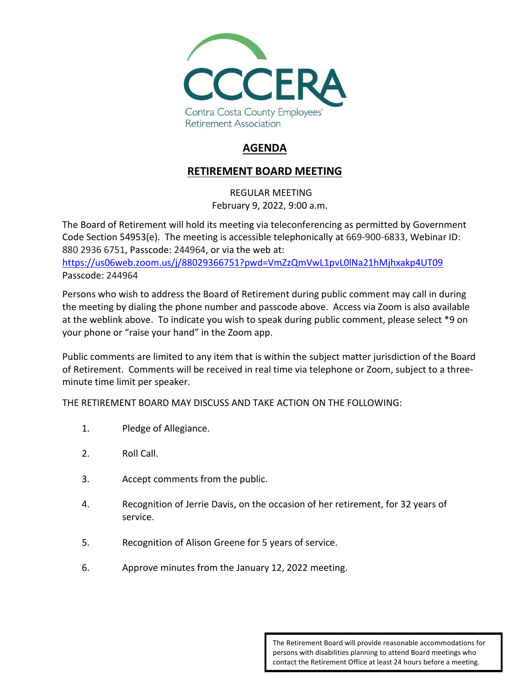

# **AGENDA**

## **RETIREMENT BOARD MEETING**

REGULAR MEETING February 9, 2022, 9:00 a.m.

The Board of Retirement will hold its meeting via teleconferencing as permitted by Government Code Section 54953(e). The meeting is accessible telephonically at 669-900-6833, Webinar ID: 880 2936 6751, Passcode: 244964, or via the web at:

<https://us06web.zoom.us/j/88029366751?pwd=VmZzQmVwL1pvL0lNa21hMjhxakp4UT09> Passcode: 244964

Persons who wish to address the Board of Retirement during public comment may call in during the meeting by dialing the phone number and passcode above. Access via Zoom is also available at the weblink above. To indicate you wish to speak during public comment, please select \*9 on your phone or "raise your hand" in the Zoom app.

Public comments are limited to any item that is within the subject matter jurisdiction of the Board of Retirement. Comments will be received in real time via telephone or Zoom, subject to a threeminute time limit per speaker.

THE RETIREMENT BOARD MAY DISCUSS AND TAKE ACTION ON THE FOLLOWING:

- 1. Pledge of Allegiance.
- 2. Roll Call.
- 3. Accept comments from the public.
- 4. Recognition of Jerrie Davis, on the occasion of her retirement, for 32 years of service.
- 5. Recognition of Alison Greene for 5 years of service.
- 6. Approve minutes from the January 12, 2022 meeting.

The Retirement Board will provide reasonable accommodations for persons with disabilities planning to attend Board meetings who contact the Retirement Office at least 24 hours before a meeting.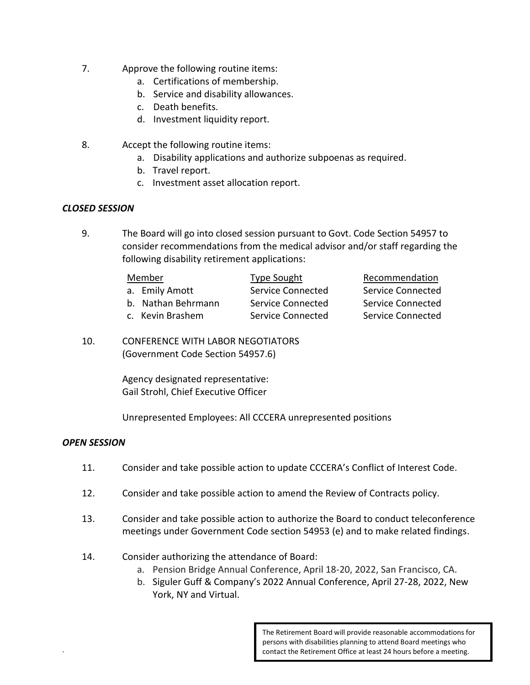- 7. Approve the following routine items:
	- a. Certifications of membership.
	- b. Service and disability allowances.
	- c. Death benefits.
	- d. Investment liquidity report.
- 8. Accept the following routine items:
	- a. Disability applications and authorize subpoenas as required.
	- b. Travel report.
	- c. Investment asset allocation report.

#### *CLOSED SESSION*

9. The Board will go into closed session pursuant to Govt. Code Section 54957 to consider recommendations from the medical advisor and/or staff regarding the following disability retirement applications:

| Member             | Type Sought       | Recommendation           |
|--------------------|-------------------|--------------------------|
| a. Emily Amott     | Service Connected | Service Connected        |
| b. Nathan Behrmann | Service Connected | <b>Service Connected</b> |
| c. Kevin Brashem   | Service Connected | Service Connected        |

10. CONFERENCE WITH LABOR NEGOTIATORS (Government Code Section 54957.6)

> Agency designated representative: Gail Strohl, Chief Executive Officer

Unrepresented Employees: All CCCERA unrepresented positions

#### *OPEN SESSION*

.

- 11. Consider and take possible action to update CCCERA's Conflict of Interest Code.
- 12. Consider and take possible action to amend the Review of Contracts policy.
- 13. Consider and take possible action to authorize the Board to conduct teleconference meetings under Government Code section 54953 (e) and to make related findings.
- 14. Consider authorizing the attendance of Board:
	- a. Pension Bridge Annual Conference, April 18-20, 2022, San Francisco, CA.
	- b. Siguler Guff & Company's 2022 Annual Conference, April 27-28, 2022, New York, NY and Virtual.

The Retirement Board will provide reasonable accommodations for persons with disabilities planning to attend Board meetings who contact the Retirement Office at least 24 hours before a meeting.